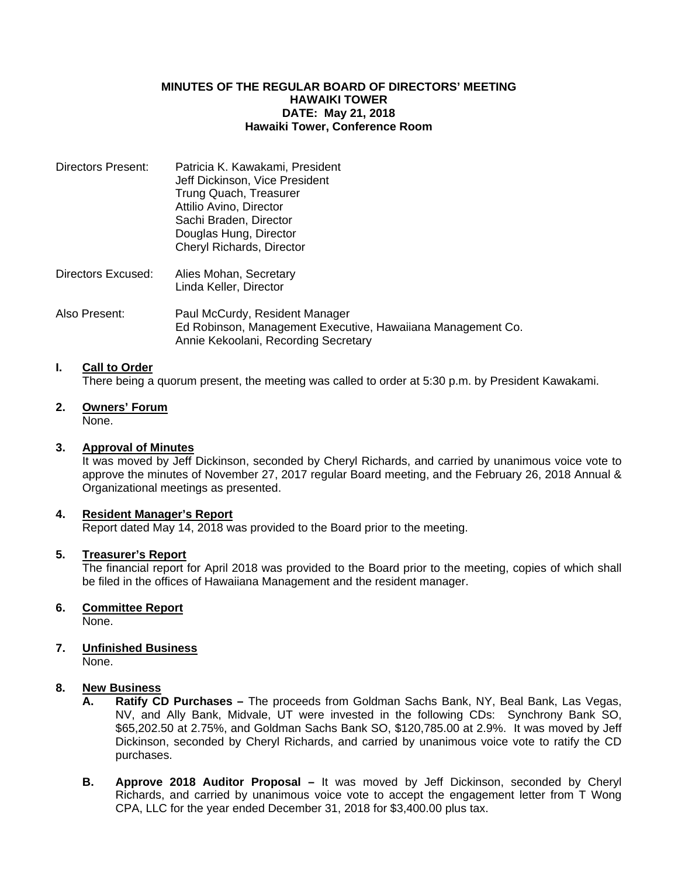## **MINUTES OF THE REGULAR BOARD OF DIRECTORS' MEETING HAWAIKI TOWER DATE: May 21, 2018 Hawaiki Tower, Conference Room**

| Directors Present: | Patricia K. Kawakami, President<br>Jeff Dickinson, Vice President<br>Trung Quach, Treasurer<br>Attilio Avino, Director<br>Sachi Braden, Director<br>Douglas Hung, Director<br>Cheryl Richards, Director |
|--------------------|---------------------------------------------------------------------------------------------------------------------------------------------------------------------------------------------------------|
| Directors Excused: | Alies Mohan, Secretary<br>Linda Keller, Director                                                                                                                                                        |
| Also Present:      | Paul McCurdy, Resident Manager<br>Ed Robinson, Management Executive, Hawaiiana Management Co.                                                                                                           |

## **I. Call to Order**

There being a quorum present, the meeting was called to order at 5:30 p.m. by President Kawakami.

#### **2. Owners' Forum** None.

### **3. Approval of Minutes**

 It was moved by Jeff Dickinson, seconded by Cheryl Richards, and carried by unanimous voice vote to approve the minutes of November 27, 2017 regular Board meeting, and the February 26, 2018 Annual & Organizational meetings as presented.

### **4. Resident Manager's Report**

Report dated May 14, 2018 was provided to the Board prior to the meeting.

Annie Kekoolani, Recording Secretary

## **5. Treasurer's Report**

 The financial report for April 2018 was provided to the Board prior to the meeting, copies of which shall be filed in the offices of Hawaiiana Management and the resident manager.

### **6. Committee Report**

None.

# **7. Unfinished Business**

None.

## **8. New Business**

- **A. Ratify CD Purchases** The proceeds from Goldman Sachs Bank, NY, Beal Bank, Las Vegas, NV, and Ally Bank, Midvale, UT were invested in the following CDs: Synchrony Bank SO, \$65,202.50 at 2.75%, and Goldman Sachs Bank SO, \$120,785.00 at 2.9%. It was moved by Jeff Dickinson, seconded by Cheryl Richards, and carried by unanimous voice vote to ratify the CD purchases.
- **B. Approve 2018 Auditor Proposal** It was moved by Jeff Dickinson, seconded by Cheryl Richards, and carried by unanimous voice vote to accept the engagement letter from T Wong CPA, LLC for the year ended December 31, 2018 for \$3,400.00 plus tax.